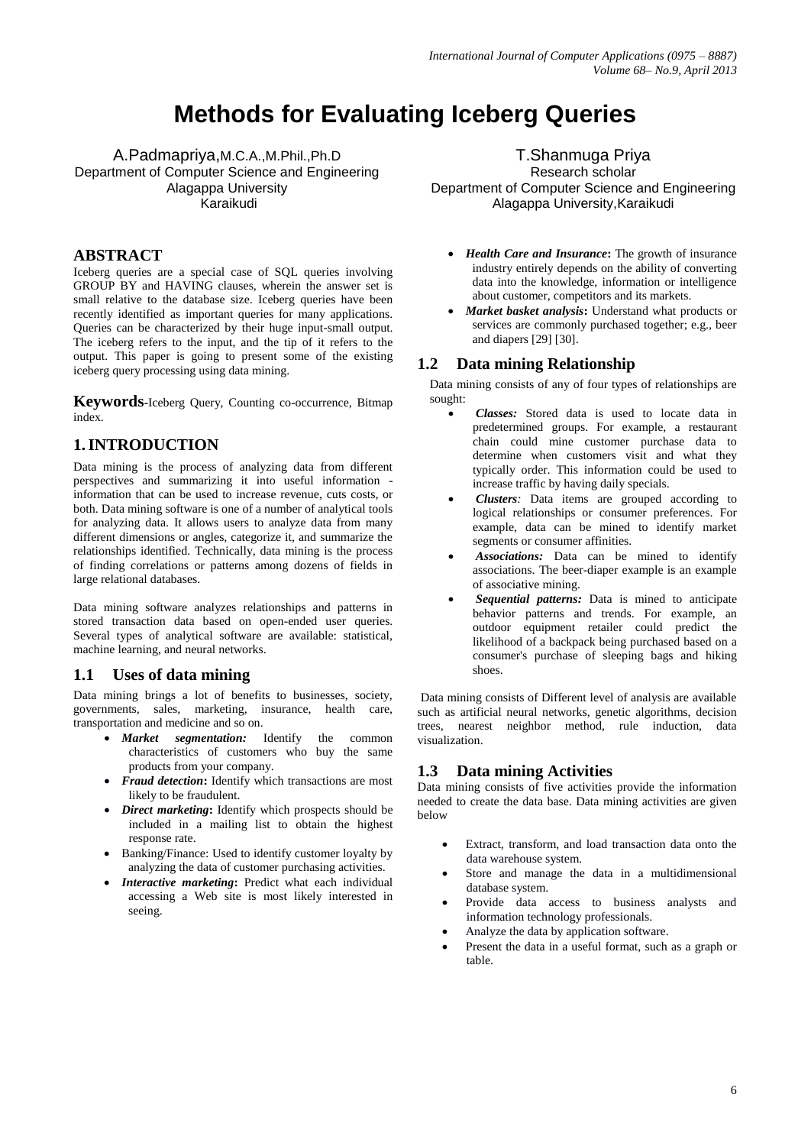# **Methods for Evaluating Iceberg Queries**

A.Padmapriya,M.C.A.,M.Phil.,Ph.D Department of Computer Science and Engineering Alagappa University Karaikudi

#### **ABSTRACT**

Iceberg queries are a special case of SQL queries involving GROUP BY and HAVING clauses, wherein the answer set is small relative to the database size. Iceberg queries have been recently identified as important queries for many applications. Queries can be characterized by their huge input-small output. The iceberg refers to the input, and the tip of it refers to the output. This paper is going to present some of the existing iceberg query processing using data mining.

**Keywords-**Iceberg Query, Counting co-occurrence, Bitmap index.

#### **1.INTRODUCTION**

Data mining is the process of analyzing data from different perspectives and summarizing it into useful information information that can be used to increase revenue, cuts costs, or both. Data mining software is one of a number of analytical tools for analyzing data. It allows users to analyze data from many different dimensions or angles, categorize it, and summarize the relationships identified. Technically, data mining is the process of finding correlations or patterns among dozens of fields in large relational databases.

Data mining software analyzes relationships and patterns in stored transaction data based on open-ended user queries. Several types of analytical software are available: statistical, machine learning, and neural networks.

#### **1.1 Uses of data mining**

Data mining brings a lot of benefits to businesses, society, governments, sales, marketing, insurance, health care, transportation and medicine and so on.

- *Market segmentation:* Identify the common characteristics of customers who buy the same products from your company.
- *Fraud detection***:** Identify which transactions are most likely to be fraudulent.
- *Direct marketing***:** Identify which prospects should be included in a mailing list to obtain the highest response rate.
- Banking/Finance: Used to identify customer loyalty by analyzing the data of customer purchasing activities.
- *Interactive marketing***:** Predict what each individual accessing a Web site is most likely interested in seeing.

T.Shanmuga Priya Research scholar

Department of Computer Science and Engineering Alagappa University,Karaikudi

- *Health Care and Insurance***:** The growth of insurance industry entirely depends on the ability of converting data into the knowledge, information or intelligence about customer, competitors and its markets.
- *Market basket analysis***:** Understand what products or services are commonly purchased together; e.g., beer and diapers [29] [30].

#### **1.2 Data mining Relationship**

Data mining consists of any of four types of relationships are sought:

- *Classes:* Stored data is used to locate data in predetermined groups. For example, a restaurant chain could mine customer purchase data to determine when customers visit and what they typically order. This information could be used to increase traffic by having daily specials.
- *Clusters:* Data items are grouped according to logical relationships or consumer preferences. For example, data can be mined to identify market segments or consumer affinities.
- *Associations:* Data can be mined to identify associations. The beer-diaper example is an example of associative mining.
- *Sequential patterns:* Data is mined to anticipate behavior patterns and trends. For example, an outdoor equipment retailer could predict the likelihood of a backpack being purchased based on a consumer's purchase of sleeping bags and hiking shoes.

Data mining consists of Different level of analysis are available such as artificial neural networks, genetic algorithms, decision trees, nearest neighbor method, rule induction, data visualization.

#### **1.3 Data mining Activities**

Data mining consists of five activities provide the information needed to create the data base. Data mining activities are given below

- Extract, transform, and load transaction data onto the data warehouse system.
- Store and manage the data in a multidimensional database system.
- Provide data access to business analysts and information technology professionals.
- Analyze the data by application software.
- Present the data in a useful format, such as a graph or table.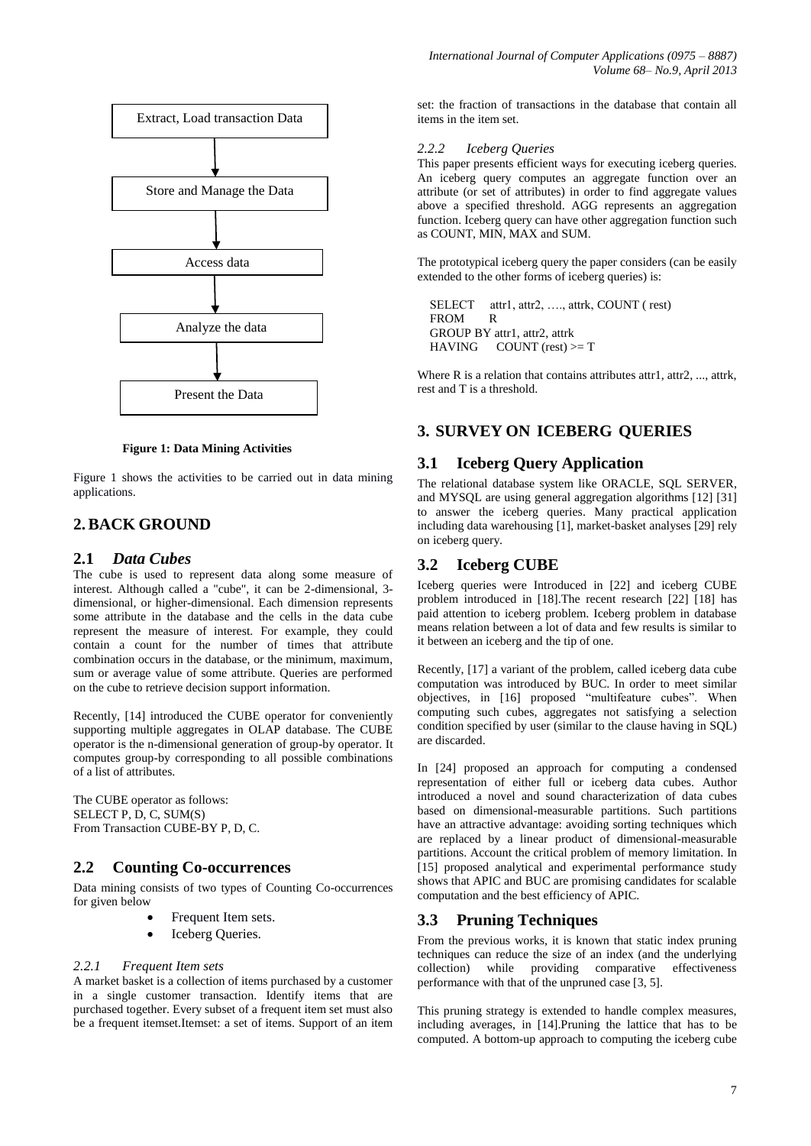

**Figure 1: Data Mining Activities**

Figure 1 shows the activities to be carried out in data mining applications.

### **2.BACK GROUND**

#### **2.1** *Data Cubes*

The cube is used to represent data along some measure of interest. Although called a "cube", it can be 2-dimensional, 3 dimensional, or higher-dimensional. Each dimension represents some attribute in the database and the cells in the data cube represent the measure of interest. For example, they could contain a count for the number of times that attribute combination occurs in the database, or the minimum, maximum, sum or average value of some attribute. Queries are performed on the cube to retrieve decision support information.

Recently, [14] introduced the CUBE operator for conveniently supporting multiple aggregates in OLAP database. The CUBE operator is the n-dimensional generation of group-by operator. It computes group-by corresponding to all possible combinations of a list of attributes.

The CUBE operator as follows: SELECT P, D, C, SUM(S) From Transaction CUBE-BY P, D, C.

#### **2.2 Counting Co-occurrences**

Data mining consists of two types of Counting Co-occurrences for given below

- Frequent Item sets.
- Iceberg Queries.

#### *2.2.1 Frequent Item sets*

A market basket is a collection of items purchased by a customer in a single customer transaction. Identify items that are purchased together. Every subset of a frequent item set must also be a frequent itemset.Itemset: a set of items. Support of an item set: the fraction of transactions in the database that contain all items in the item set.

#### *2.2.2 Iceberg Queries*

This paper presents efficient ways for executing iceberg queries. An iceberg query computes an aggregate function over an attribute (or set of attributes) in order to find aggregate values above a specified threshold. AGG represents an aggregation function. Iceberg query can have other aggregation function such as COUNT, MIN, MAX and SUM.

The prototypical iceberg query the paper considers (can be easily extended to the other forms of iceberg queries) is:

SELECT attr1, attr2, ..., attrk, COUNT (rest) FROM R GROUP BY attr1, attr2, attrk  $HAVING$  COUNT (rest)  $>= T$ 

Where R is a relation that contains attributes attr1, attr2, ..., attrk, rest and T is a threshold.

### **3. SURVEY ON ICEBERG QUERIES**

#### **3.1 Iceberg Query Application**

The relational database system like ORACLE, SQL SERVER, and MYSQL are using general aggregation algorithms [12] [31] to answer the iceberg queries. Many practical application including data warehousing [1], market-basket analyses [29] rely on iceberg query.

### **3.2 Iceberg CUBE**

Iceberg queries were Introduced in [22] and iceberg CUBE problem introduced in [18].The recent research [22] [18] has paid attention to iceberg problem. Iceberg problem in database means relation between a lot of data and few results is similar to it between an iceberg and the tip of one.

Recently, [17] a variant of the problem, called iceberg data cube computation was introduced by BUC. In order to meet similar objectives, in [16] proposed "multifeature cubes". When computing such cubes, aggregates not satisfying a selection condition specified by user (similar to the clause having in SQL) are discarded.

In [24] proposed an approach for computing a condensed representation of either full or iceberg data cubes. Author introduced a novel and sound characterization of data cubes based on dimensional-measurable partitions. Such partitions have an attractive advantage: avoiding sorting techniques which are replaced by a linear product of dimensional-measurable partitions. Account the critical problem of memory limitation. In [15] proposed analytical and experimental performance study shows that APIC and BUC are promising candidates for scalable computation and the best efficiency of APIC.

#### **3.3 Pruning Techniques**

From the previous works, it is known that static index pruning techniques can reduce the size of an index (and the underlying collection) while providing comparative effectiveness performance with that of the unpruned case [3, 5].

This pruning strategy is extended to handle complex measures, including averages, in [14].Pruning the lattice that has to be computed. A bottom-up approach to computing the iceberg cube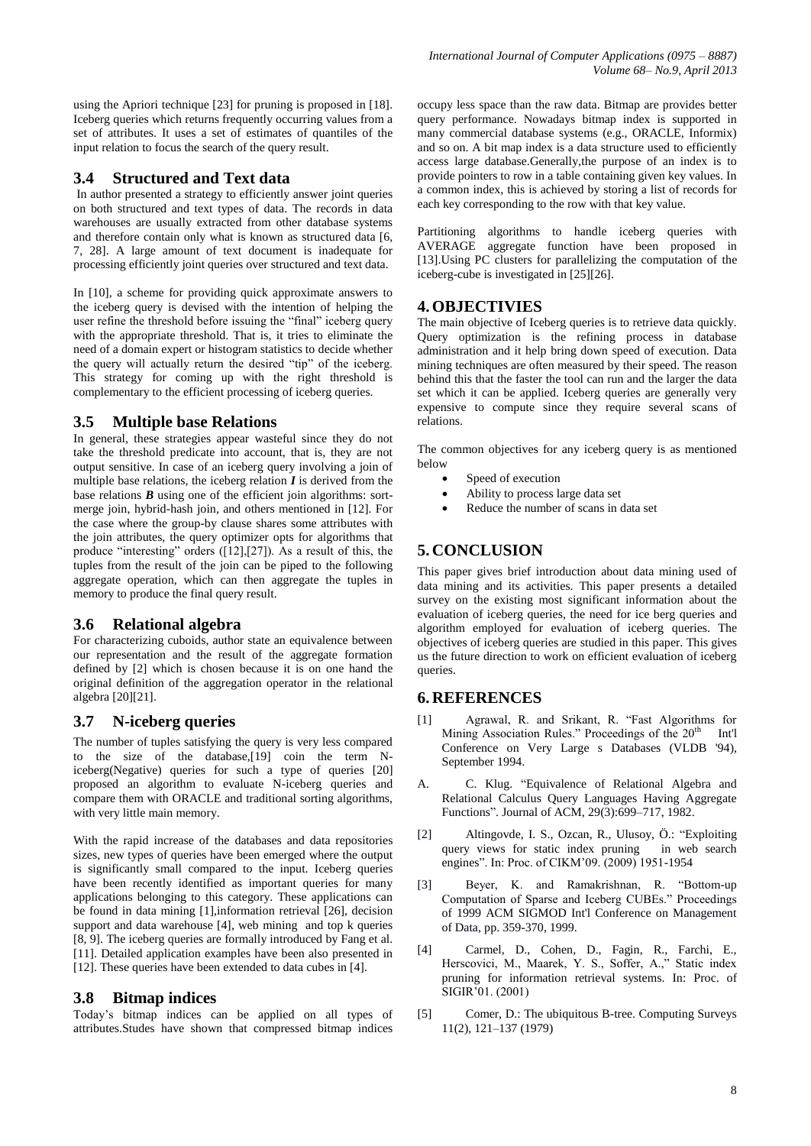using the Apriori technique [23] for pruning is proposed in [18]. Iceberg queries which returns frequently occurring values from a set of attributes. It uses a set of estimates of quantiles of the input relation to focus the search of the query result.

### **3.4 Structured and Text data**

In author presented a strategy to efficiently answer joint queries on both structured and text types of data. The records in data warehouses are usually extracted from other database systems and therefore contain only what is known as structured data [6, 7, 28]. A large amount of text document is inadequate for processing efficiently joint queries over structured and text data.

In [10], a scheme for providing quick approximate answers to the iceberg query is devised with the intention of helping the user refine the threshold before issuing the "final" iceberg query with the appropriate threshold. That is, it tries to eliminate the need of a domain expert or histogram statistics to decide whether the query will actually return the desired "tip" of the iceberg. This strategy for coming up with the right threshold is complementary to the efficient processing of iceberg queries.

### **3.5 Multiple base Relations**

In general, these strategies appear wasteful since they do not take the threshold predicate into account, that is, they are not output sensitive. In case of an iceberg query involving a join of multiple base relations, the iceberg relation *I* is derived from the base relations *B* using one of the efficient join algorithms: sortmerge join, hybrid-hash join, and others mentioned in [12]. For the case where the group-by clause shares some attributes with the join attributes, the query optimizer opts for algorithms that produce "interesting" orders ([12],[27]). As a result of this, the tuples from the result of the join can be piped to the following aggregate operation, which can then aggregate the tuples in memory to produce the final query result.

### **3.6 Relational algebra**

For characterizing cuboids, author state an equivalence between our representation and the result of the aggregate formation defined by [2] which is chosen because it is on one hand the original definition of the aggregation operator in the relational algebra [20][21].

### **3.7 N-iceberg queries**

The number of tuples satisfying the query is very less compared to the size of the database,[19] coin the term Niceberg(Negative) queries for such a type of queries [20] proposed an algorithm to evaluate N-iceberg queries and compare them with ORACLE and traditional sorting algorithms, with very little main memory.

With the rapid increase of the databases and data repositories sizes, new types of queries have been emerged where the output is significantly small compared to the input. Iceberg queries have been recently identified as important queries for many applications belonging to this category. These applications can be found in data mining [1],information retrieval [26], decision support and data warehouse [4], web mining and top k queries [8, 9]. The iceberg queries are formally introduced by Fang et al. [11]. Detailed application examples have been also presented in [12]. These queries have been extended to data cubes in [4].

### **3.8 Bitmap indices**

Today's bitmap indices can be applied on all types of attributes.Studes have shown that compressed bitmap indices

occupy less space than the raw data. Bitmap are provides better query performance. Nowadays bitmap index is supported in many commercial database systems (e.g., ORACLE, Informix) and so on. A bit map index is a data structure used to efficiently access large database.Generally,the purpose of an index is to provide pointers to row in a table containing given key values. In a common index, this is achieved by storing a list of records for each key corresponding to the row with that key value.

Partitioning algorithms to handle iceberg queries with AVERAGE aggregate function have been proposed in [13].Using PC clusters for parallelizing the computation of the iceberg-cube is investigated in [25][26].

### **4.OBJECTIVIES**

The main objective of Iceberg queries is to retrieve data quickly. Query optimization is the refining process in database administration and it help bring down speed of execution. Data mining techniques are often measured by their speed. The reason behind this that the faster the tool can run and the larger the data set which it can be applied. Iceberg queries are generally very expensive to compute since they require several scans of relations.

The common objectives for any iceberg query is as mentioned below

- Speed of execution
- Ability to process large data set
- Reduce the number of scans in data set

## **5. CONCLUSION**

This paper gives brief introduction about data mining used of data mining and its activities. This paper presents a detailed survey on the existing most significant information about the evaluation of iceberg queries, the need for ice berg queries and algorithm employed for evaluation of iceberg queries. The objectives of iceberg queries are studied in this paper. This gives us the future direction to work on efficient evaluation of iceberg queries.

### **6. REFERENCES**

- [1] Agrawal, R. and Srikant, R. "Fast Algorithms for Mining Association Rules." Proceedings of the  $20<sup>th</sup>$  Int'l Conference on Very Large s Databases (VLDB '94), September 1994.
- A. C. Klug. "Equivalence of Relational Algebra and Relational Calculus Query Languages Having Aggregate Functions". Journal of ACM, 29(3):699–717, 1982.
- [2] Altingovde, I. S., Ozcan, R., Ulusoy, Ö.: "Exploiting query views for static index pruning in web search engines". In: Proc. of CIKM'09. (2009) 1951-1954
- [3] Beyer, K. and Ramakrishnan, R. "Bottom-up Computation of Sparse and Iceberg CUBEs." Proceedings of 1999 ACM SIGMOD Int'l Conference on Management of Data, pp. 359-370, 1999.
- [4] Carmel, D., Cohen, D., Fagin, R., Farchi, E., Herscovici, M., Maarek, Y. S., Soffer, A.," Static index pruning for information retrieval systems. In: Proc. of SIGIR'01. (2001)
- [5] Comer, D.: The ubiquitous B-tree. Computing Surveys 11(2), 121–137 (1979)